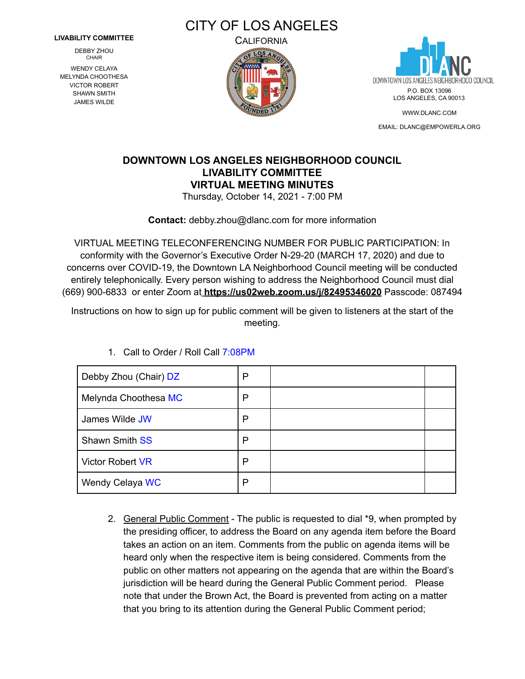#### **LIVABILITY COMMITTEE**

DEBBY **ZHOU** CHAIR

WENDY CELAYA MELYNDA CHOOTHESA VICTOR ROBERT SHAWN SMITH JAMES WILDE







[WWW.DLANC.COM](http://www.dlanc.com) EMAIL: [DLANC@EMPOWERLA.ORG](mailto:DLANC@EMPOWERLA.ORG)

# **DOWNTOWN LOS ANGELES NEIGHBORHOOD COUNCIL LIVABILITY COMMITTEE VIRTUAL MEETING MINUTES**

Thursday, October 14, 2021 - 7:00 PM

**Contact:** [debby.zhou@dlanc.com](mailto:debby.zhou@dlanc.com) for more information

VIRTUAL MEETING TELECONFERENCING NUMBER FOR PUBLIC PARTICIPATION: In conformity with the Governor's Executive Order N-29-20 (MARCH 17, 2020) and due to concerns over COVID-19, the Downtown LA Neighborhood Council meeting will be conducted entirely telephonically. Every person wishing to address the Neighborhood Council must dial (669) 900-6833 or enter Zoom at **<https://us02web.zoom.us/j/82495346020>** Passcode: 087494

Instructions on how to sign up for public comment will be given to listeners at the start of the meeting.

| Debby Zhou (Chair) DZ   | Р |  |
|-------------------------|---|--|
| Melynda Choothesa MC    | Р |  |
| James Wilde JW          | Ρ |  |
| <b>Shawn Smith SS</b>   | Р |  |
| <b>Victor Robert VR</b> | P |  |
| Wendy Celaya WC         | P |  |

1. Call to Order / Roll Call 7:08PM

2. General Public Comment - The public is requested to dial \*9, when prompted by the presiding officer, to address the Board on any agenda item before the Board takes an action on an item. Comments from the public on agenda items will be heard only when the respective item is being considered. Comments from the public on other matters not appearing on the agenda that are within the Board's jurisdiction will be heard during the General Public Comment period. Please note that under the Brown Act, the Board is prevented from acting on a matter that you bring to its attention during the General Public Comment period;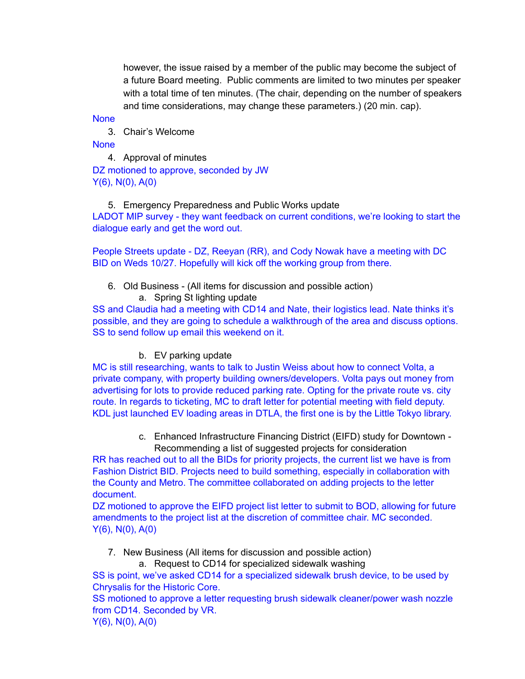however, the issue raised by a member of the public may become the subject of a future Board meeting. Public comments are limited to two minutes per speaker with a total time of ten minutes. (The chair, depending on the number of speakers and time considerations, may change these parameters.) (20 min. cap).

**None** 

3. Chair's Welcome

**None** 

4. Approval of minutes

DZ motioned to approve, seconded by JW Y(6), N(0), A(0)

### 5. Emergency Preparedness and Public Works update

LADOT MIP survey - they want feedback on current conditions, we're looking to start the dialogue early and get the word out.

People Streets update - DZ, Reeyan (RR), and Cody Nowak have a meeting with DC BID on Weds 10/27. Hopefully will kick off the working group from there.

6. Old Business - (All items for discussion and possible action) a. Spring St lighting update

SS and Claudia had a meeting with CD14 and Nate, their logistics lead. Nate thinks it's possible, and they are going to schedule a walkthrough of the area and discuss options. SS to send follow up email this weekend on it.

#### b. EV parking update

MC is still researching, wants to talk to Justin Weiss about how to connect Volta, a private company, with property building owners/developers. Volta pays out money from advertising for lots to provide reduced parking rate. Opting for the private route vs. city route. In regards to ticketing, MC to draft letter for potential meeting with field deputy. KDL just launched EV loading areas in DTLA, the first one is by the Little Tokyo library.

> c. Enhanced Infrastructure Financing District (EIFD) study for Downtown - Recommending a list of suggested projects for consideration

RR has reached out to all the BIDs for priority projects, the current list we have is from Fashion District BID. Projects need to build something, especially in collaboration with the County and Metro. The committee collaborated on adding projects to the letter document.

DZ motioned to approve the EIFD project list letter to submit to BOD, allowing for future amendments to the project list at the discretion of committee chair. MC seconded. Y(6), N(0), A(0)

## 7. New Business (All items for discussion and possible action)

a. Request to CD14 for specialized sidewalk washing

SS is point, we've asked CD14 for a specialized sidewalk brush device, to be used by Chrysalis for the Historic Core.

SS motioned to approve a letter requesting brush sidewalk cleaner/power wash nozzle from CD14. Seconded by VR.

Y(6), N(0), A(0)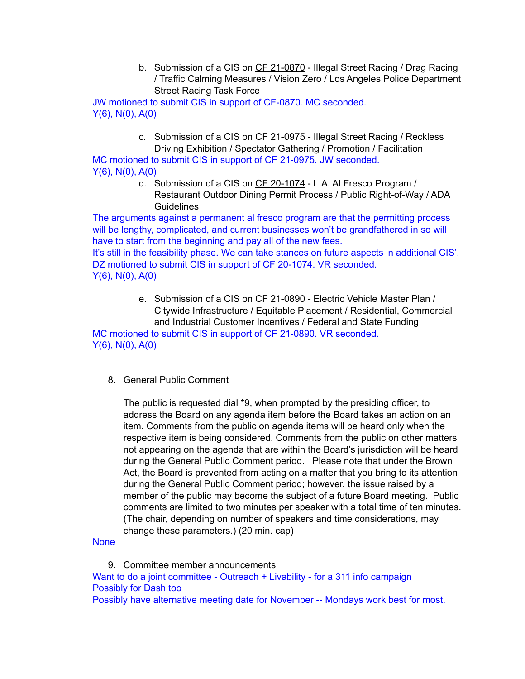b. Submission of a CIS on CF [21-0870](https://cityclerk.lacity.org/lacityclerkconnect/index.cfm?fa=ccfi.viewrecord&cfnumber=21-0870) - Illegal Street Racing / Drag Racing / Traffic Calming Measures / Vision Zero / Los Angeles Police Department Street Racing Task Force

JW motioned to submit CIS in support of CF-0870. MC seconded. Y(6), N(0), A(0)

> c. Submission of a CIS on CF [21-0975](https://cityclerk.lacity.org/lacityclerkconnect/index.cfm?fa=ccfi.viewrecord&cfnumber=21-0975) - Illegal Street Racing / Reckless Driving Exhibition / Spectator Gathering / Promotion / Facilitation

MC motioned to submit CIS in support of CF 21-0975. JW seconded. Y(6), N(0), A(0)

d. Submission of a CIS on CF [20-1074](https://cityclerk.lacity.org/lacityclerkconnect/index.cfm?fa=ccfi.viewrecord&cfnumber=20-1074) - L.A. Al Fresco Program / Restaurant Outdoor Dining Permit Process / Public Right-of-Way / ADA **Guidelines** 

The arguments against a permanent al fresco program are that the permitting process will be lengthy, complicated, and current businesses won't be grandfathered in so will have to start from the beginning and pay all of the new fees. It's still in the feasibility phase. We can take stances on future aspects in additional CIS'. DZ motioned to submit CIS in support of CF 20-1074. VR seconded.  $Y(6)$ , N(0), A(0)

> e. Submission of a CIS on CF [21-0890](https://cityclerk.lacity.org/lacityclerkconnect/index.cfm?fa=ccfi.viewrecord&cfnumber=21-0890) - Electric Vehicle Master Plan / Citywide Infrastructure / Equitable Placement / Residential, Commercial and Industrial Customer Incentives / Federal and State Funding

MC motioned to submit CIS in support of CF 21-0890. VR seconded. Y(6), N(0), A(0)

8. General Public Comment

The public is requested dial \*9, when prompted by the presiding officer, to address the Board on any agenda item before the Board takes an action on an item. Comments from the public on agenda items will be heard only when the respective item is being considered. Comments from the public on other matters not appearing on the agenda that are within the Board's jurisdiction will be heard during the General Public Comment period. Please note that under the Brown Act, the Board is prevented from acting on a matter that you bring to its attention during the General Public Comment period; however, the issue raised by a member of the public may become the subject of a future Board meeting. Public comments are limited to two minutes per speaker with a total time of ten minutes. (The chair, depending on number of speakers and time considerations, may change these parameters.) (20 min. cap)

**None** 

9. Committee member announcements Want to do a joint committee - Outreach + Livability - for a 311 info campaign Possibly for Dash too Possibly have alternative meeting date for November -- Mondays work best for most.